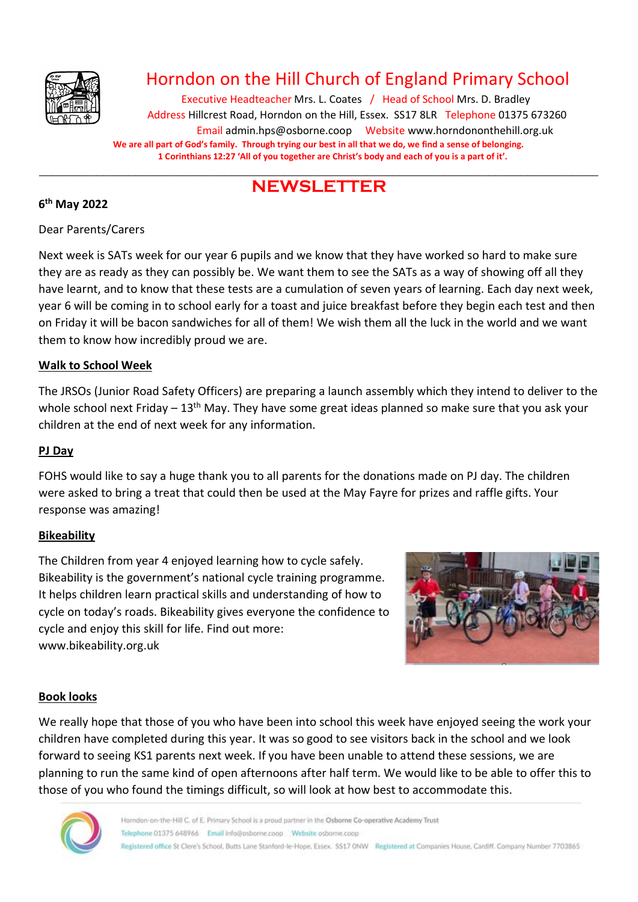

### Horndon on the Hill Church of England Primary School

Executive Headteacher Mrs. L. Coates / Head of School Mrs. D. Bradley Address Hillcrest Road, Horndon on the Hill, Essex. SS17 8LR Telephone 01375 673260 Email admin.hps@osborne.coop Websit[e www.horndononthehill.org.uk](http://www.horndononthehill.org.uk/) **We are all part of God's family. Through trying our best in all that we do, we find a sense of belonging. 1 Corinthians 12:27 'All of you together are Christ's body and each of you is a part of it'.**

#### \_\_\_\_\_\_\_\_\_\_\_\_\_\_\_\_\_\_\_\_\_\_\_\_\_\_\_\_\_\_\_\_\_\_\_\_\_\_\_\_\_\_\_\_\_\_\_\_\_\_\_\_\_\_\_\_\_\_\_\_\_\_\_\_\_\_\_\_\_\_\_\_\_\_\_\_\_\_\_\_\_\_\_\_\_\_\_ **NEWSLETTER**

#### **6 th May 2022**

Dear Parents/Carers

Next week is SATs week for our year 6 pupils and we know that they have worked so hard to make sure they are as ready as they can possibly be. We want them to see the SATs as a way of showing off all they have learnt, and to know that these tests are a cumulation of seven years of learning. Each day next week, year 6 will be coming in to school early for a toast and juice breakfast before they begin each test and then on Friday it will be bacon sandwiches for all of them! We wish them all the luck in the world and we want them to know how incredibly proud we are.

#### **Walk to School Week**

The JRSOs (Junior Road Safety Officers) are preparing a launch assembly which they intend to deliver to the whole school next Friday –  $13<sup>th</sup>$  May. They have some great ideas planned so make sure that you ask your children at the end of next week for any information.

#### **PJ Day**

FOHS would like to say a huge thank you to all parents for the donations made on PJ day. The children were asked to bring a treat that could then be used at the May Fayre for prizes and raffle gifts. Your response was amazing!

#### **Bikeability**

The Children from year 4 enjoyed learning how to cycle safely. Bikeability is the government's national cycle training programme. It helps children learn practical skills and understanding of how to cycle on today's roads. Bikeability gives everyone the confidence to cycle and enjoy this skill for life. Find out more: www.bikeability.org.uk



#### **Book looks**

We really hope that those of you who have been into school this week have enjoyed seeing the work your children have completed during this year. It was so good to see visitors back in the school and we look forward to seeing KS1 parents next week. If you have been unable to attend these sessions, we are planning to run the same kind of open afternoons after half term. We would like to be able to offer this to those of you who found the timings difficult, so will look at how best to accommodate this.

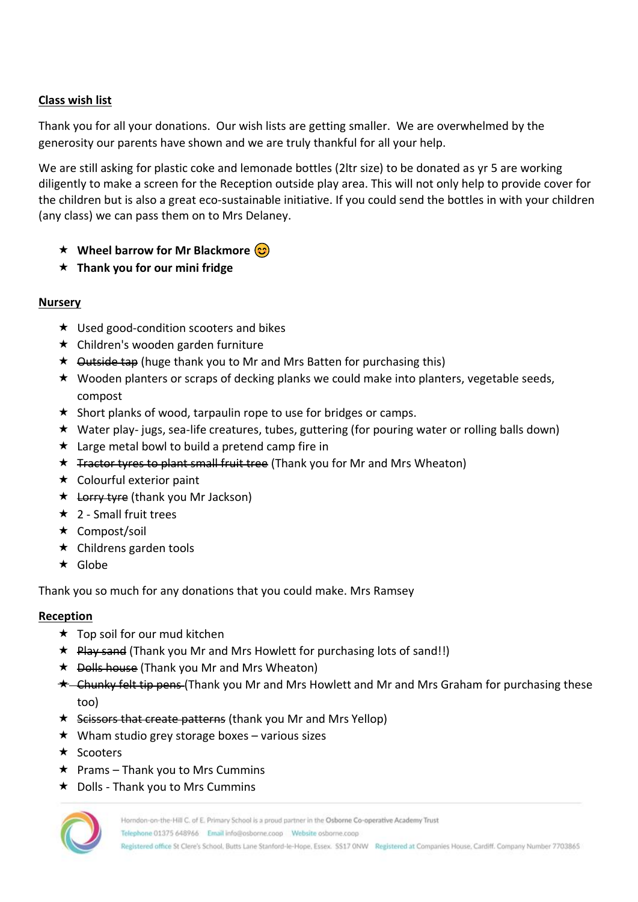#### **Class wish list**

Thank you for all your donations. Our wish lists are getting smaller. We are overwhelmed by the generosity our parents have shown and we are truly thankful for all your help.

We are still asking for plastic coke and lemonade bottles (2ltr size) to be donated as yr 5 are working diligently to make a screen for the Reception outside play area. This will not only help to provide cover for the children but is also a great eco-sustainable initiative. If you could send the bottles in with your children (any class) we can pass them on to Mrs Delaney.

- **Wheel barrow for Mr Blackmore**
- **Thank you for our mini fridge**

#### **Nursery**

- $\star$  Used good-condition scooters and bikes
- **★** Children's wooden garden furniture
- $\star$  Outside tap (huge thank you to Mr and Mrs Batten for purchasing this)
- $\star$  Wooden planters or scraps of decking planks we could make into planters, vegetable seeds, compost
- $\star$  Short planks of wood, tarpaulin rope to use for bridges or camps.
- Water play- jugs, sea-life creatures, tubes, guttering (for pouring water or rolling balls down)
- $\star$  Large metal bowl to build a pretend camp fire in
- \* Tractor tyres to plant small fruit tree (Thank you for Mr and Mrs Wheaton)
- $\star$  Colourful exterior paint
- **★ Lorry tyre (thank you Mr Jackson)**
- $\star$  2 Small fruit trees
- $\star$  Compost/soil
- $\star$  Childrens garden tools
- $\star$  Globe

Thank you so much for any donations that you could make. Mrs Ramsey

#### **Reception**

- $\star$  Top soil for our mud kitchen
- $\star$  Play sand (Thank you Mr and Mrs Howlett for purchasing lots of sand!!)
- **★ Dolls house** (Thank you Mr and Mrs Wheaton)
- $\star$  Chunky felt tip pens (Thank you Mr and Mrs Howlett and Mr and Mrs Graham for purchasing these too)
- $\star$  Scissors that create patterns (thank you Mr and Mrs Yellop)
- $\star$  Wham studio grey storage boxes various sizes
- $\star$  Scooters
- $\star$  Prams Thank you to Mrs Cummins
- $\star$  Dolls Thank you to Mrs Cummins

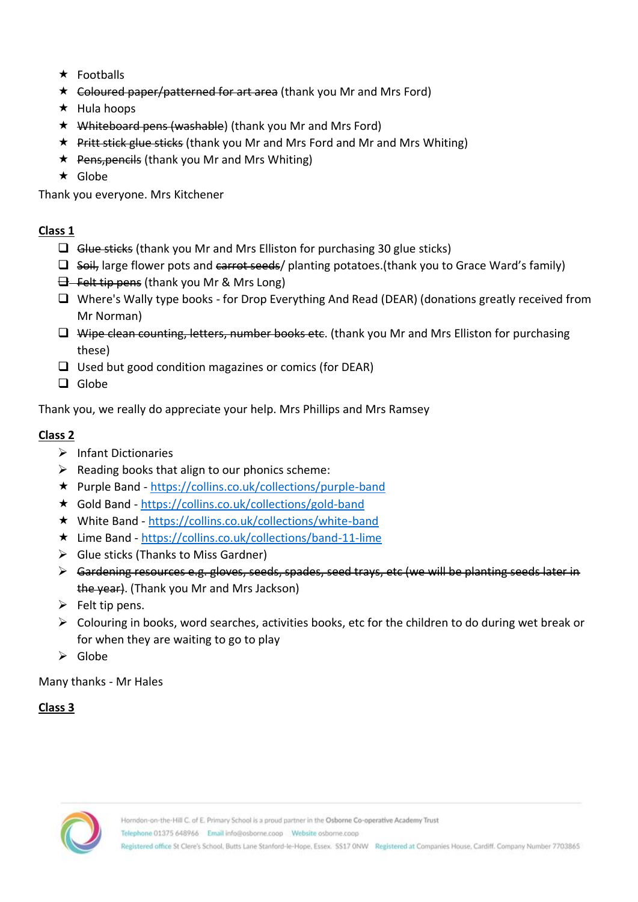- $\star$  Footballs
- ★ Coloured paper/patterned for art area (thank you Mr and Mrs Ford)
- $\star$  Hula hoops
- ★ Whiteboard pens (washable) (thank you Mr and Mrs Ford)
- ★ Pritt stick glue sticks (thank you Mr and Mrs Ford and Mr and Mrs Whiting)
- $\star$  Pens, pencils (thank you Mr and Mrs Whiting)
- $\star$  Globe

Thank you everyone. Mrs Kitchener

#### **Class 1**

- $\Box$  Glue sticks (thank you Mr and Mrs Elliston for purchasing 30 glue sticks)
- $\Box$  Soil, large flower pots and carrot seeds/ planting potatoes. (thank you to Grace Ward's family)
- $\exists$  Felt tip pens (thank you Mr & Mrs Long)
- ❑ Where's Wally type books for Drop Everything And Read (DEAR) (donations greatly received from Mr Norman)
- ❑ Wipe clean counting, letters, number books etc. (thank you Mr and Mrs Elliston for purchasing these)
- ❑ Used but good condition magazines or comics (for DEAR)
- ❑ Globe

Thank you, we really do appreciate your help. Mrs Phillips and Mrs Ramsey

#### **Class 2**

- ➢ Infant Dictionaries
- $\triangleright$  Reading books that align to our phonics scheme:
- Purple Band <https://collins.co.uk/collections/purple-band>
- Gold Band <https://collins.co.uk/collections/gold-band>
- White Band <https://collins.co.uk/collections/white-band>
- Lime Band <https://collins.co.uk/collections/band-11-lime>
- $\triangleright$  Glue sticks (Thanks to Miss Gardner)
- ➢ Gardening resources e.g. gloves, seeds, spades, seed trays, etc (we will be planting seeds later in the year). (Thank you Mr and Mrs Jackson)
- $\triangleright$  Felt tip pens.
- $\triangleright$  Colouring in books, word searches, activities books, etc for the children to do during wet break or for when they are waiting to go to play
- ➢ Globe

Many thanks - Mr Hales

#### **Class 3**

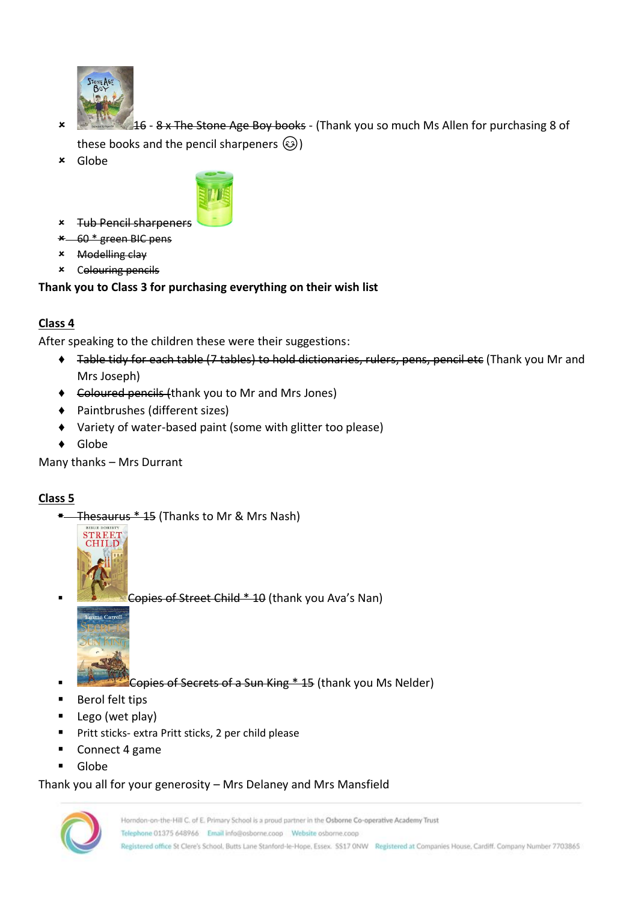

- 16 8 x The Stone Age Boy books (Thank you so much Ms Allen for purchasing 8 of these books and the pencil sharpeners  $\circled{3}$ )
- $x$  Globe



- Tub Pencil sharpeners
- \* 60 \* green BIC pens
- Modelling clay
- Colouring pencils

#### **Thank you to Class 3 for purchasing everything on their wish list**

#### **Class 4**

After speaking to the children these were their suggestions:

- ♦ Table tidy for each table (7 tables) to hold dictionaries, rulers, pens, pencil etc (Thank you Mr and Mrs Joseph)
- ♦ Coloured pencils (thank you to Mr and Mrs Jones)
- ♦ Paintbrushes (different sizes)
- ♦ Variety of water-based paint (some with glitter too please)
- ♦ Globe

Many thanks – Mrs Durrant

#### **Class 5**

Thesaurus \* 15 (Thanks to Mr & Mrs Nash)



Copies of Street Child \* 10 (thank you Ava's Nan)



- Copies of Secrets of a Sun King \* 15 (thank you Ms Nelder)
- Berol felt tips
- Lego (wet play)
- Pritt sticks- extra Pritt sticks, 2 per child please
- Connect 4 game
- Globe

Thank you all for your generosity – Mrs Delaney and Mrs Mansfield

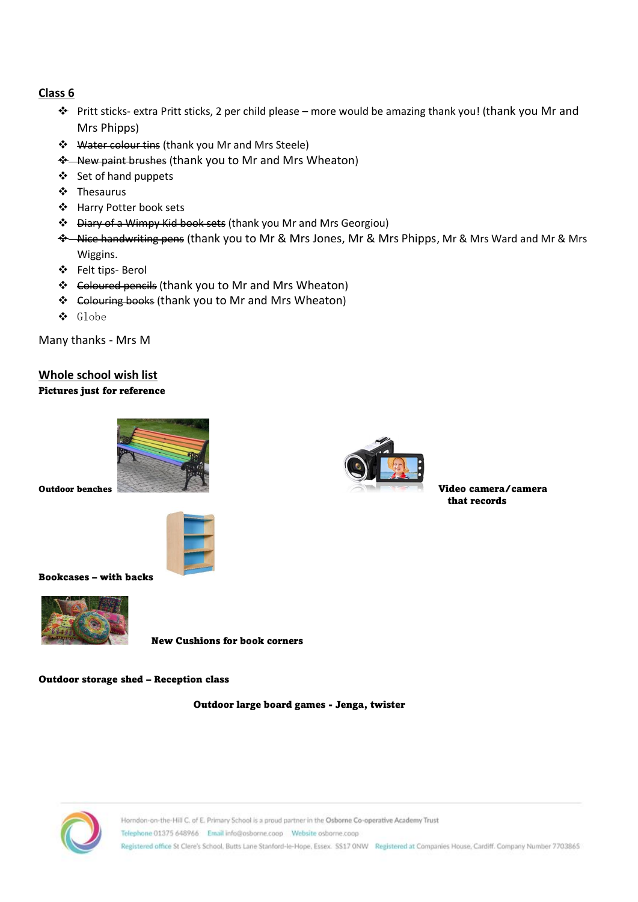#### **Class 6**

- ❖ Pritt sticks- extra Pritt sticks, 2 per child please more would be amazing thank you! (thank you Mr and Mrs Phipps)
- ❖ Water colour tins (thank you Mr and Mrs Steele)
- ❖ New paint brushes (thank you to Mr and Mrs Wheaton)
- ❖ Set of hand puppets
- ❖ Thesaurus
- ❖ Harry Potter book sets
- ❖ Diary of a Wimpy Kid book sets (thank you Mr and Mrs Georgiou)
- ❖ Nice handwriting pens (thank you to Mr & Mrs Jones, Mr & Mrs Phipps, Mr & Mrs Ward and Mr & Mrs Wiggins.
- ❖ Felt tips- Berol
- ❖ Coloured pencils (thank you to Mr and Mrs Wheaton)
- ❖ Colouring books (thank you to Mr and Mrs Wheaton)
- ❖ Globe

Many thanks - Mrs M

#### **Whole school wish list**

#### Pictures just for reference







that records

Bookcases – with backs



New Cushions for book corners

#### Outdoor storage shed – Reception class

Outdoor large board games - Jenga, twister

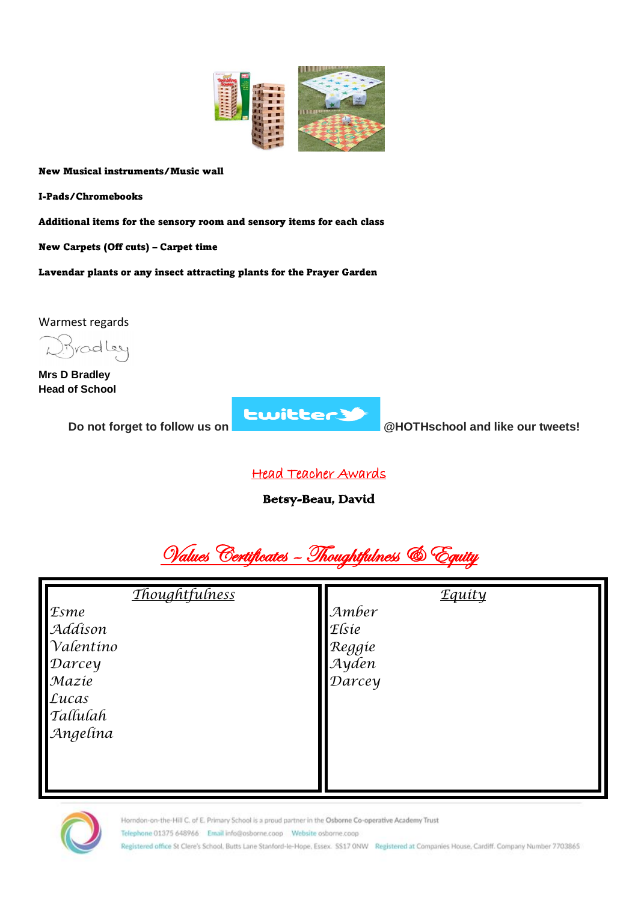

#### New Musical instruments/Music wall

I-Pads/Chromebooks

Additional items for the sensory room and sensory items for each class

New Carpets (Off cuts) – Carpet time

Lavendar plants or any insect attracting plants for the Prayer Garden

Warmest regards

Bradley  $h$ 

**Mrs D Bradley Head of School**



Head Teacher Awards

Betsy-Beau, David

Values Certificates – Thoughtfulness & Equity

| Thoughtfulness | <b><i><u>Equity</u></i></b> |
|----------------|-----------------------------|
| <b>Esme</b>    | Amber                       |
| Addison        | Elsie                       |
| Valentino      | Reggie                      |
| Darcey         | Ayden                       |
| Mazie          | Darcey                      |
| Lucas          |                             |
| Tallulah       |                             |
| Angelina       |                             |
|                |                             |
|                |                             |
|                |                             |



Horndon-on-the-Hill C. of E. Primary School is a proud partner in the Osborne Co-operative Academy Trust

Telephone 01375 648966 Email info@osborne.coop Website osborne.coop

Registered office St Clere's School, Butts Lane Stanford-le-Hope, Essex. SS17 ONW Registered at Companies House, Cardiff. Company Number 7703865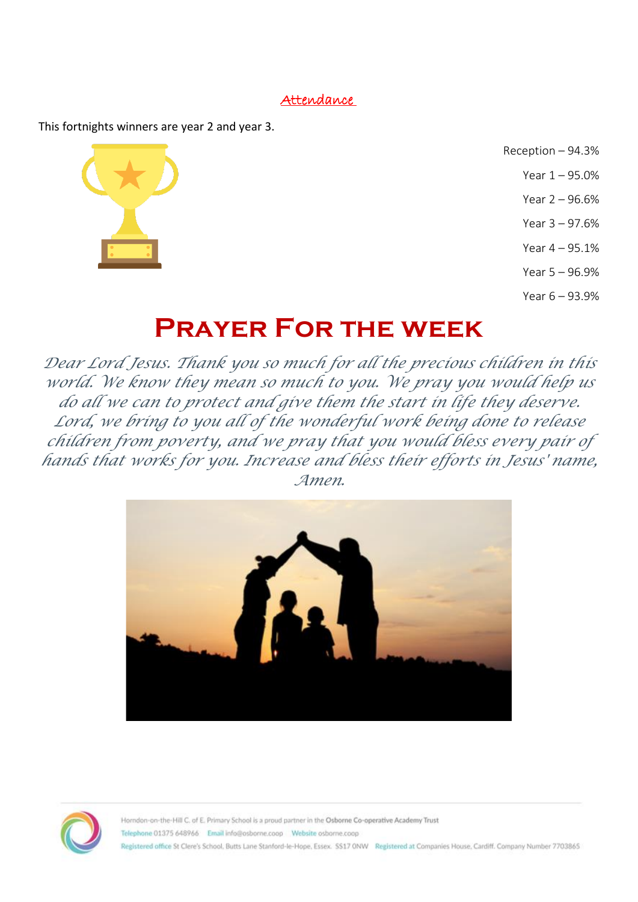#### Attendance

This fortnights winners are year 2 and year 3.



- Reception 94.3%
	- Year 1 95.0%
	- Year 2 96.6%
	- Year 3 97.6%
	- Year 4 95.1%
	- Year 5 96.9%
	- Year 6 93.9%

## **Prayer For the week**

*Dear Lord Jesus. Thank you so much for all the precious children in this world. We know they mean so much to you. We pray you would help us do all we can to protect and give them the start in life they deserve. Lord, we bring to you all of the wonderful work being done to release children from poverty, and we pray that you would bless every pair of hands that works for you. Increase and bless their efforts in Jesus' name, Amen.*



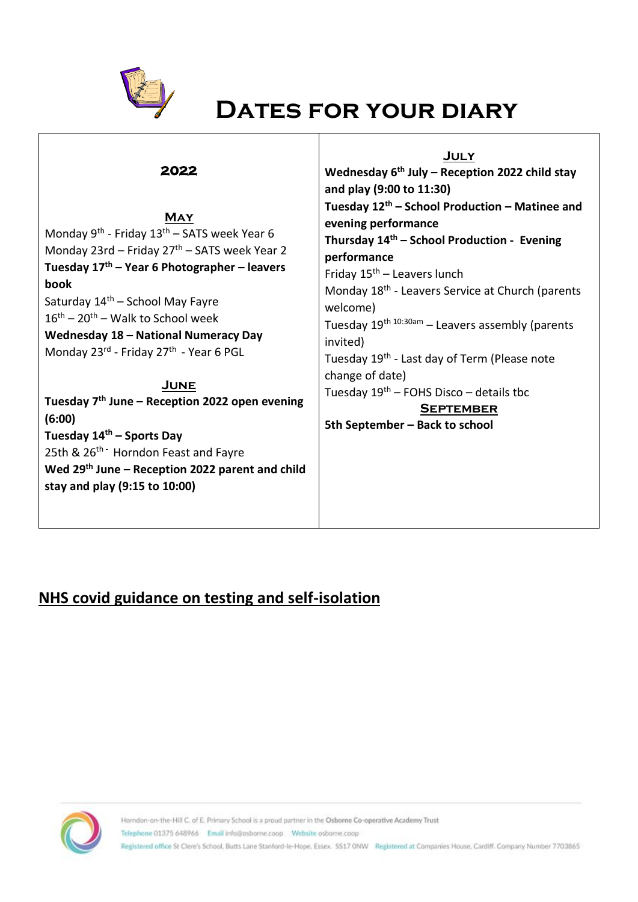

## **Dates for your diary**

| <b>MAY</b><br>evening performance<br>Monday 9 <sup>th</sup> - Friday 13 <sup>th</sup> – SATS week Year 6<br>Thursday 14 <sup>th</sup> – School Production - Evening<br>Monday 23rd - Friday 27 <sup>th</sup> - SATS week Year 2<br>performance<br>Tuesday 17 <sup>th</sup> - Year 6 Photographer - leavers<br>Friday $15th$ – Leavers lunch<br>book<br>Monday 18 <sup>th</sup> - Leavers Service at Church (parents<br>Saturday 14 <sup>th</sup> – School May Fayre<br>welcome)<br>$16^{\text{th}}$ – $20^{\text{th}}$ – Walk to School week<br>Tuesday 19th 10:30am - Leavers assembly (parents<br>Wednesday 18 - National Numeracy Day<br>invited)<br>Monday 23rd - Friday 27th - Year 6 PGL<br>Tuesday 19 <sup>th</sup> - Last day of Term (Please note<br>change of date)<br><b>JUNE</b><br>Tuesday $19^{th}$ – FOHS Disco – details tbc<br>Tuesday 7 <sup>th</sup> June - Reception 2022 open evening<br><b>SEPTEMBER</b><br>(6:00)<br>5th September - Back to school<br>Tuesday 14 <sup>th</sup> – Sports Day<br>25th & 26 <sup>th -</sup> Horndon Feast and Fayre | 2022                                              | <u>JULY</u><br>Wednesday $6th$ July – Reception 2022 child stay<br>and play (9:00 to 11:30)<br>Tuesday 12 <sup>th</sup> – School Production – Matinee and |
|--------------------------------------------------------------------------------------------------------------------------------------------------------------------------------------------------------------------------------------------------------------------------------------------------------------------------------------------------------------------------------------------------------------------------------------------------------------------------------------------------------------------------------------------------------------------------------------------------------------------------------------------------------------------------------------------------------------------------------------------------------------------------------------------------------------------------------------------------------------------------------------------------------------------------------------------------------------------------------------------------------------------------------------------------------------------------|---------------------------------------------------|-----------------------------------------------------------------------------------------------------------------------------------------------------------|
| stay and play (9:15 to 10:00)                                                                                                                                                                                                                                                                                                                                                                                                                                                                                                                                                                                                                                                                                                                                                                                                                                                                                                                                                                                                                                            | Wed $29th$ June – Reception 2022 parent and child |                                                                                                                                                           |

 $\mathbf{I}$ 

### **NHS covid guidance on testing and self-isolation**

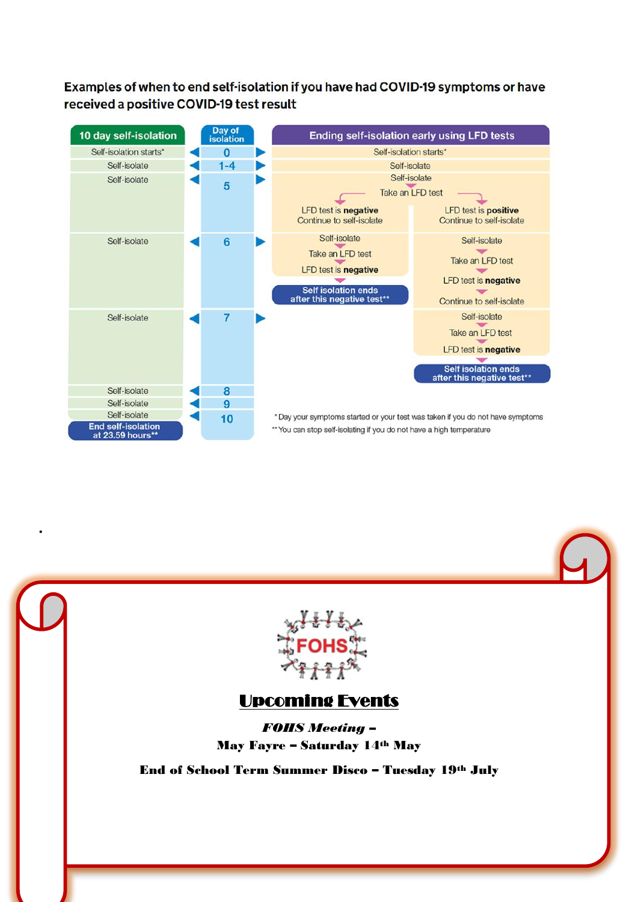#### Examples of when to end self-isolation if you have had COVID-19 symptoms or have received a positive COVID-19 test result





.

### Upcoming Events

*FOHS Meeting –* May Fayre – Saturday 14th May

End of School Term Summer Disco – Tuesday 19th July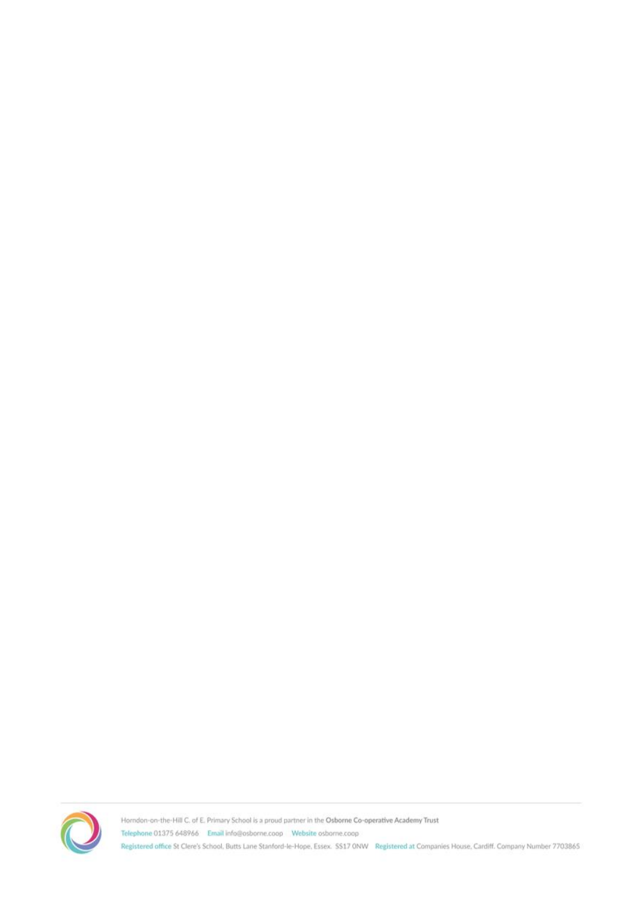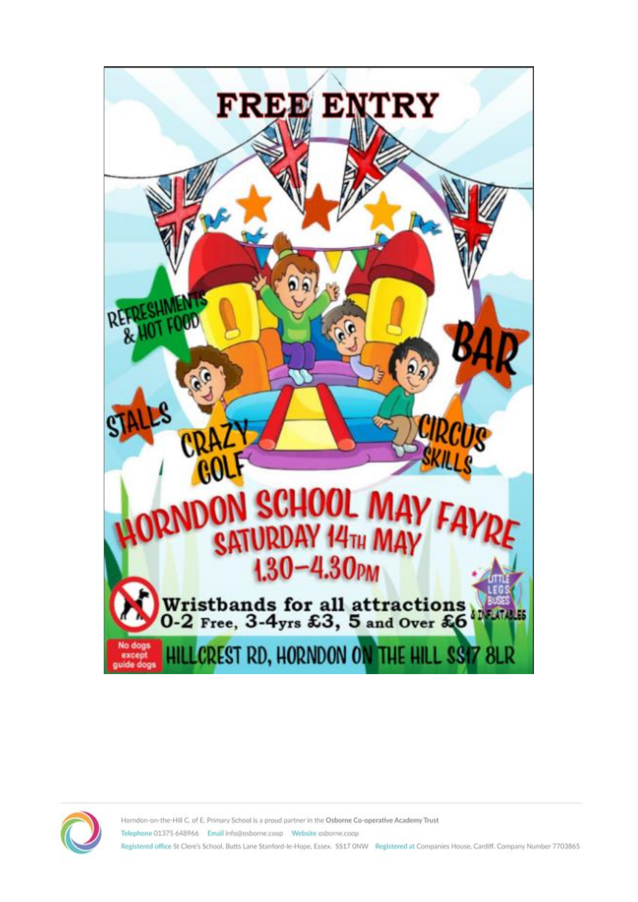